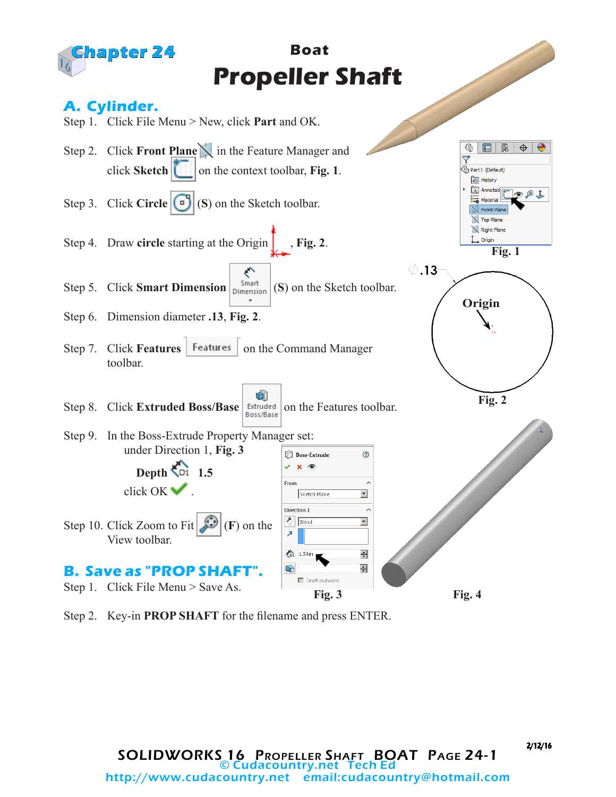

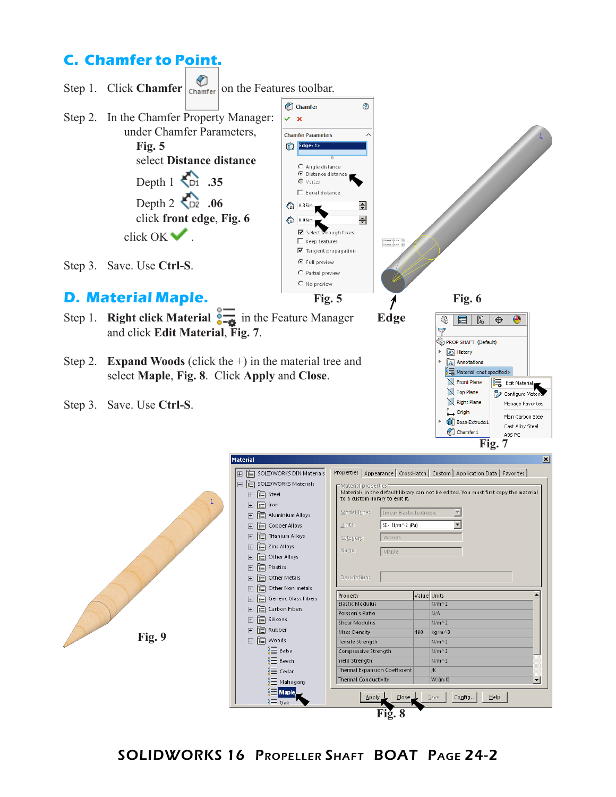## **C. Chamfer to Point.**



SOLIDWORKS 16 Propeller Shaft BOAT Page 24-2